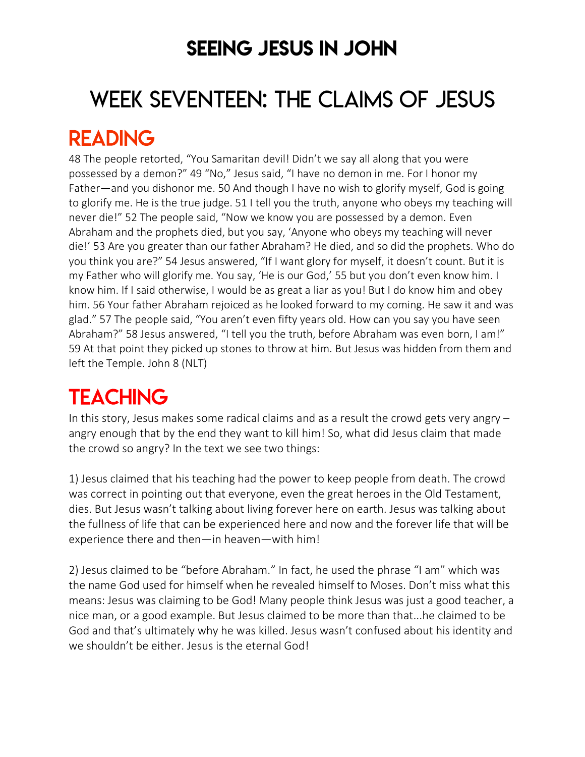### SEEING JESUS IN JOHN

# WEEK SEVENTEEN: THE CLAIMS OF JESUS

### READING

48 The people retorted, "You Samaritan devil! Didn't we say all along that you were possessed by a demon?" 49 "No," Jesus said, "I have no demon in me. For I honor my Father—and you dishonor me. 50 And though I have no wish to glorify myself, God is going to glorify me. He is the true judge. 51 I tell you the truth, anyone who obeys my teaching will never die!" 52 The people said, "Now we know you are possessed by a demon. Even Abraham and the prophets died, but you say, 'Anyone who obeys my teaching will never die!' 53 Are you greater than our father Abraham? He died, and so did the prophets. Who do you think you are?" 54 Jesus answered, "If I want glory for myself, it doesn't count. But it is my Father who will glorify me. You say, 'He is our God,' 55 but you don't even know him. I know him. If I said otherwise, I would be as great a liar as you! But I do know him and obey him. 56 Your father Abraham rejoiced as he looked forward to my coming. He saw it and was glad." 57 The people said, "You aren't even fifty years old. How can you say you have seen Abraham?" 58 Jesus answered, "I tell you the truth, before Abraham was even born, I am!" 59 At that point they picked up stones to throw at him. But Jesus was hidden from them and left the Temple. John 8 (NLT)

## **TEACHING**

In this story, Jesus makes some radical claims and as a result the crowd gets very angry – angry enough that by the end they want to kill him! So, what did Jesus claim that made the crowd so angry? In the text we see two things:

1) Jesus claimed that his teaching had the power to keep people from death. The crowd was correct in pointing out that everyone, even the great heroes in the Old Testament, dies. But Jesus wasn't talking about living forever here on earth. Jesus was talking about the fullness of life that can be experienced here and now and the forever life that will be experience there and then—in heaven—with him!

2) Jesus claimed to be "before Abraham." In fact, he used the phrase "I am" which was the name God used for himself when he revealed himself to Moses. Don't miss what this means: Jesus was claiming to be God! Many people think Jesus was just a good teacher, a nice man, or a good example. But Jesus claimed to be more than that...he claimed to be God and that's ultimately why he was killed. Jesus wasn't confused about his identity and we shouldn't be either. Jesus is the eternal God!